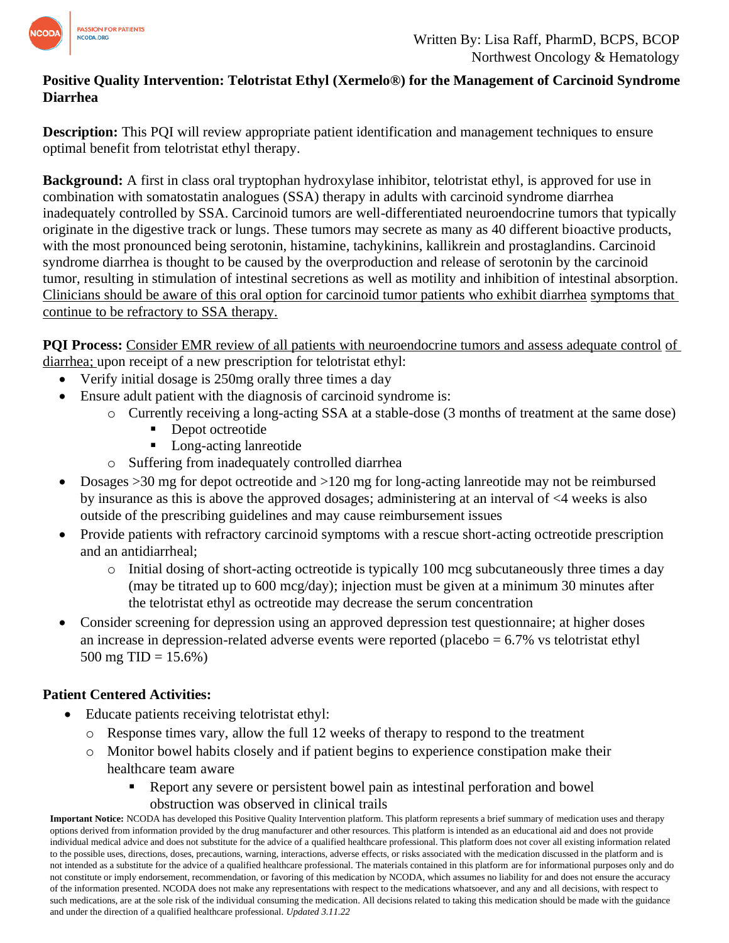

# **Positive Quality Intervention: Telotristat Ethyl (Xermelo®) for the Management of Carcinoid Syndrome Diarrhea**

**Description:** This PQI will review appropriate patient identification and management techniques to ensure optimal benefit from telotristat ethyl therapy.

**Background:** A first in class oral tryptophan hydroxylase inhibitor, telotristat ethyl, is approved for use in combination with somatostatin analogues (SSA) therapy in adults with carcinoid syndrome diarrhea inadequately controlled by SSA. Carcinoid tumors are well-differentiated neuroendocrine tumors that typically originate in the digestive track or lungs. These tumors may secrete as many as 40 different bioactive products, with the most pronounced being serotonin, histamine, tachykinins, kallikrein and prostaglandins. Carcinoid syndrome diarrhea is thought to be caused by the overproduction and release of serotonin by the carcinoid tumor, resulting in stimulation of intestinal secretions as well as motility and inhibition of intestinal absorption. Clinicians should be aware of this oral option for carcinoid tumor patients who exhibit diarrhea symptoms that continue to be refractory to SSA therapy.

**PQI Process:** Consider EMR review of all patients with neuroendocrine tumors and assess adequate control of diarrhea; upon receipt of a new prescription for telotristat ethyl:

- Verify initial dosage is 250mg orally three times a day
- Ensure adult patient with the diagnosis of carcinoid syndrome is:
	- o Currently receiving a long-acting SSA at a stable-dose (3 months of treatment at the same dose)
		- Depot octreotide
		- Long-acting lanreotide
	- o Suffering from inadequately controlled diarrhea
- Dosages >30 mg for depot octreotide and >120 mg for long-acting lanreotide may not be reimbursed by insurance as this is above the approved dosages; administering at an interval of <4 weeks is also outside of the prescribing guidelines and may cause reimbursement issues
- Provide patients with refractory carcinoid symptoms with a rescue short-acting octreotide prescription and an antidiarrheal;
	- o Initial dosing of short-acting octreotide is typically 100 mcg subcutaneously three times a day (may be titrated up to 600 mcg/day); injection must be given at a minimum 30 minutes after the telotristat ethyl as octreotide may decrease the serum concentration
- Consider screening for depression using an approved depression test questionnaire; at higher doses an increase in depression-related adverse events were reported (placebo = 6.7% vs telotristat ethyl 500 mg TID =  $15.6\%$ )

## **Patient Centered Activities:**

- Educate patients receiving telotristat ethyl:
	- o Response times vary, allow the full 12 weeks of therapy to respond to the treatment
	- o Monitor bowel habits closely and if patient begins to experience constipation make their healthcare team aware
		- Report any severe or persistent bowel pain as intestinal perforation and bowel obstruction was observed in clinical trails

**Important Notice:** NCODA has developed this Positive Quality Intervention platform. This platform represents a brief summary of medication uses and therapy options derived from information provided by the drug manufacturer and other resources. This platform is intended as an educational aid and does not provide individual medical advice and does not substitute for the advice of a qualified healthcare professional. This platform does not cover all existing information related to the possible uses, directions, doses, precautions, warning, interactions, adverse effects, or risks associated with the medication discussed in the platform and is not intended as a substitute for the advice of a qualified healthcare professional. The materials contained in this platform are for informational purposes only and do not constitute or imply endorsement, recommendation, or favoring of this medication by NCODA, which assumes no liability for and does not ensure the accuracy of the information presented. NCODA does not make any representations with respect to the medications whatsoever, and any and all decisions, with respect to such medications, are at the sole risk of the individual consuming the medication. All decisions related to taking this medication should be made with the guidance and under the direction of a qualified healthcare professional. *Updated 3.11.22*